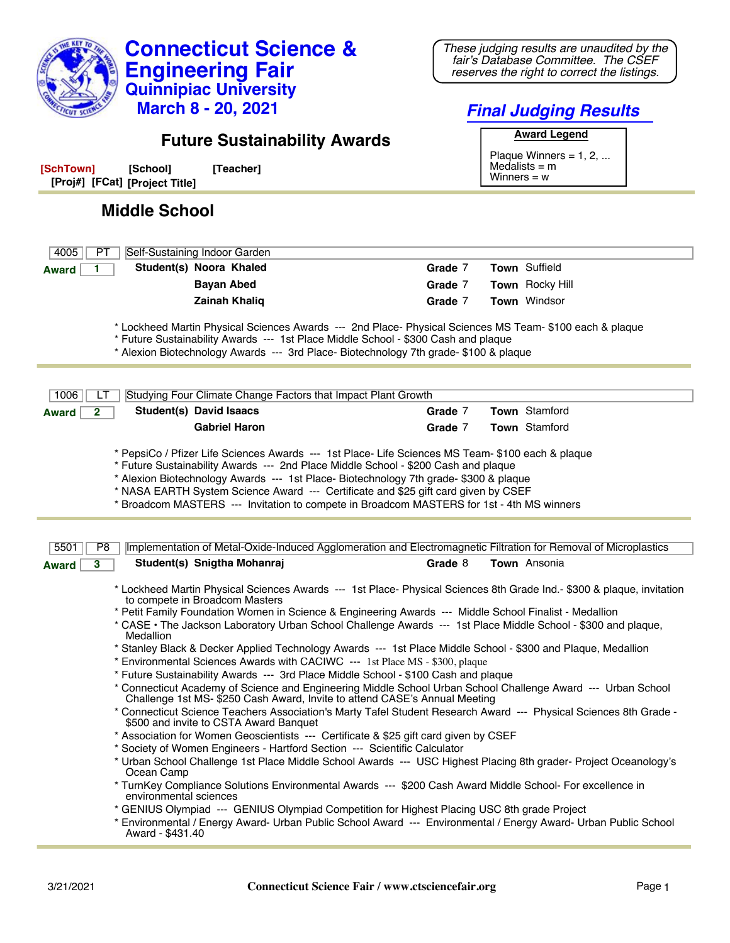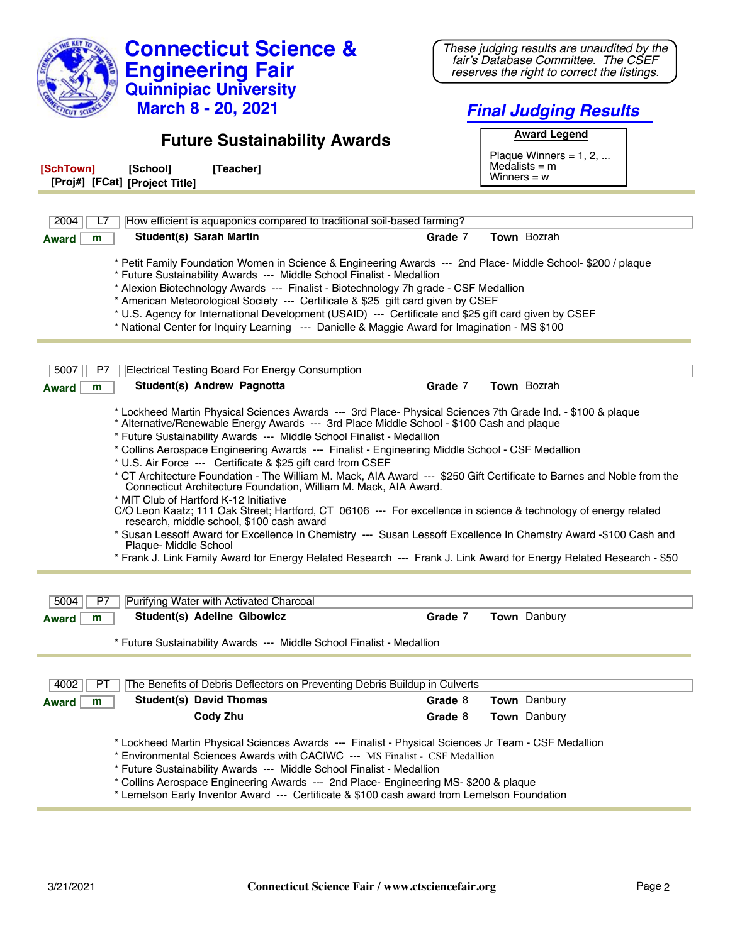| <b>Connecticut Science &amp;</b>                                                                                                                                                                                                                                                                                                                                                                                                                                                                                                                                                                                                                                                                                                                                                                                                                                                                                                                                                                                | These judging results are unaudited by the<br>fair's Database Committee. The CSEF |  |
|-----------------------------------------------------------------------------------------------------------------------------------------------------------------------------------------------------------------------------------------------------------------------------------------------------------------------------------------------------------------------------------------------------------------------------------------------------------------------------------------------------------------------------------------------------------------------------------------------------------------------------------------------------------------------------------------------------------------------------------------------------------------------------------------------------------------------------------------------------------------------------------------------------------------------------------------------------------------------------------------------------------------|-----------------------------------------------------------------------------------|--|
| <b>Engineering Fair</b>                                                                                                                                                                                                                                                                                                                                                                                                                                                                                                                                                                                                                                                                                                                                                                                                                                                                                                                                                                                         | reserves the right to correct the listings.                                       |  |
| <b>Quinnipiac University</b>                                                                                                                                                                                                                                                                                                                                                                                                                                                                                                                                                                                                                                                                                                                                                                                                                                                                                                                                                                                    |                                                                                   |  |
| <b>March 8 - 20, 2021</b>                                                                                                                                                                                                                                                                                                                                                                                                                                                                                                                                                                                                                                                                                                                                                                                                                                                                                                                                                                                       | <b>Final Judging Results</b>                                                      |  |
| <b>Future Sustainability Awards</b>                                                                                                                                                                                                                                                                                                                                                                                                                                                                                                                                                                                                                                                                                                                                                                                                                                                                                                                                                                             | <b>Award Legend</b>                                                               |  |
|                                                                                                                                                                                                                                                                                                                                                                                                                                                                                                                                                                                                                                                                                                                                                                                                                                                                                                                                                                                                                 | Plaque Winners = $1, 2, $                                                         |  |
| [Teacher]<br>[SchTown]<br>[School]<br>[Proj#] [FCat] [Project Title]                                                                                                                                                                                                                                                                                                                                                                                                                                                                                                                                                                                                                                                                                                                                                                                                                                                                                                                                            | Medalists $=$ m<br>Winners = $w$                                                  |  |
| 2004                                                                                                                                                                                                                                                                                                                                                                                                                                                                                                                                                                                                                                                                                                                                                                                                                                                                                                                                                                                                            |                                                                                   |  |
| How efficient is aquaponics compared to traditional soil-based farming?<br><b>Student(s) Sarah Martin</b>                                                                                                                                                                                                                                                                                                                                                                                                                                                                                                                                                                                                                                                                                                                                                                                                                                                                                                       | Town Bozrah<br>Grade 7                                                            |  |
| m<br><b>Award</b>                                                                                                                                                                                                                                                                                                                                                                                                                                                                                                                                                                                                                                                                                                                                                                                                                                                                                                                                                                                               |                                                                                   |  |
| * Petit Family Foundation Women in Science & Engineering Awards --- 2nd Place- Middle School- \$200 / plaque<br>* Future Sustainability Awards --- Middle School Finalist - Medallion<br>* Alexion Biotechnology Awards --- Finalist - Biotechnology 7h grade - CSF Medallion<br>* American Meteorological Society --- Certificate & \$25 gift card given by CSEF<br>* U.S. Agency for International Development (USAID) --- Certificate and \$25 gift card given by CSEF<br>* National Center for Inquiry Learning --- Danielle & Maggie Award for Imagination - MS \$100                                                                                                                                                                                                                                                                                                                                                                                                                                      |                                                                                   |  |
| <b>Electrical Testing Board For Energy Consumption</b><br>5007<br>P7                                                                                                                                                                                                                                                                                                                                                                                                                                                                                                                                                                                                                                                                                                                                                                                                                                                                                                                                            |                                                                                   |  |
| Student(s) Andrew Pagnotta<br><b>Award</b><br>m                                                                                                                                                                                                                                                                                                                                                                                                                                                                                                                                                                                                                                                                                                                                                                                                                                                                                                                                                                 | Town Bozrah<br>Grade 7                                                            |  |
| * Alternative/Renewable Energy Awards --- 3rd Place Middle School - \$100 Cash and plaque<br>* Future Sustainability Awards --- Middle School Finalist - Medallion<br>* Collins Aerospace Engineering Awards --- Finalist - Engineering Middle School - CSF Medallion<br>* U.S. Air Force --- Certificate & \$25 gift card from CSEF<br>* CT Architecture Foundation - The William M. Mack, AIA Award --- \$250 Gift Certificate to Barnes and Noble from the<br>Connecticut Architecture Foundation, William M. Mack, AIA Award.<br>* MIT Club of Hartford K-12 Initiative<br>C/O Leon Kaatz; 111 Oak Street; Hartford, CT 06106 --- For excellence in science & technology of energy related<br>research, middle school, \$100 cash award<br>* Susan Lessoff Award for Excellence In Chemistry --- Susan Lessoff Excellence In Chemstry Award -\$100 Cash and<br>Plaque- Middle School<br>* Frank J. Link Family Award for Energy Related Research --- Frank J. Link Award for Energy Related Research - \$50 |                                                                                   |  |
|                                                                                                                                                                                                                                                                                                                                                                                                                                                                                                                                                                                                                                                                                                                                                                                                                                                                                                                                                                                                                 |                                                                                   |  |
| 5004<br>Purifying Water with Activated Charcoal<br>P7                                                                                                                                                                                                                                                                                                                                                                                                                                                                                                                                                                                                                                                                                                                                                                                                                                                                                                                                                           |                                                                                   |  |
| Student(s) Adeline Gibowicz<br>Award<br>m                                                                                                                                                                                                                                                                                                                                                                                                                                                                                                                                                                                                                                                                                                                                                                                                                                                                                                                                                                       | Grade 7<br>Town Danbury                                                           |  |
| * Future Sustainability Awards --- Middle School Finalist - Medallion                                                                                                                                                                                                                                                                                                                                                                                                                                                                                                                                                                                                                                                                                                                                                                                                                                                                                                                                           |                                                                                   |  |
| 4002<br>The Benefits of Debris Deflectors on Preventing Debris Buildup in Culverts<br>PТ                                                                                                                                                                                                                                                                                                                                                                                                                                                                                                                                                                                                                                                                                                                                                                                                                                                                                                                        |                                                                                   |  |
| <b>Student(s) David Thomas</b><br><b>Award</b><br>m                                                                                                                                                                                                                                                                                                                                                                                                                                                                                                                                                                                                                                                                                                                                                                                                                                                                                                                                                             | Town Danbury<br>Grade 8                                                           |  |
| Cody Zhu                                                                                                                                                                                                                                                                                                                                                                                                                                                                                                                                                                                                                                                                                                                                                                                                                                                                                                                                                                                                        | Town Danbury<br>Grade 8                                                           |  |
| * Lockheed Martin Physical Sciences Awards --- Finalist - Physical Sciences Jr Team - CSF Medallion<br>* Environmental Sciences Awards with CACIWC --- MS Finalist - CSF Medallion<br>* Future Sustainability Awards --- Middle School Finalist - Medallion<br>* Collins Aerospace Engineering Awards --- 2nd Place- Engineering MS- \$200 & plaque<br>* Lemelson Early Inventor Award --- Certificate & \$100 cash award from Lemelson Foundation                                                                                                                                                                                                                                                                                                                                                                                                                                                                                                                                                              |                                                                                   |  |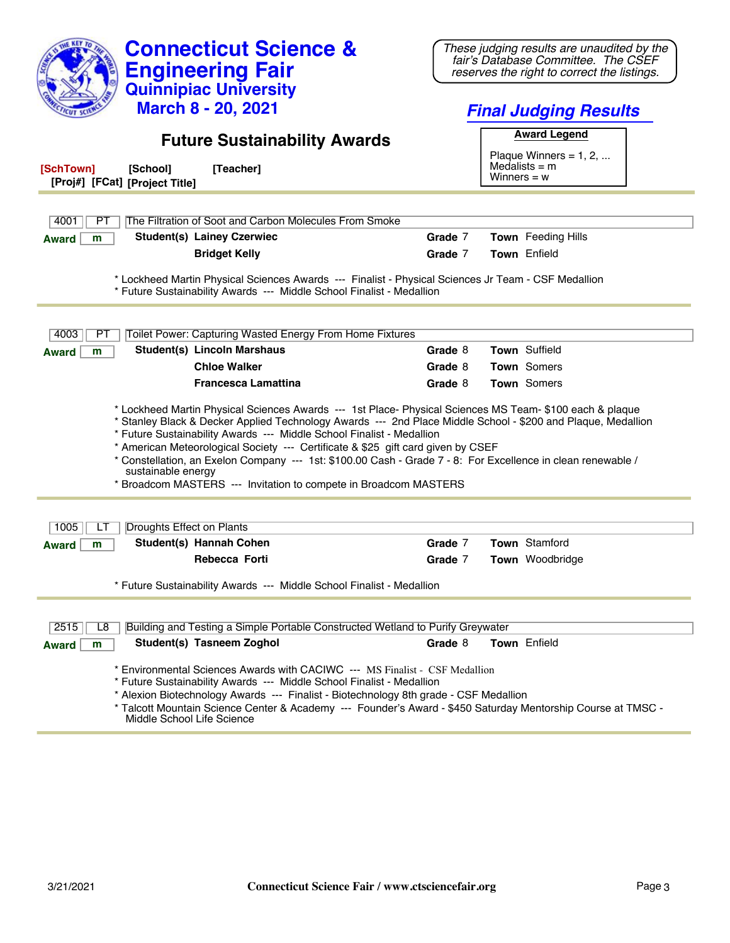| <b>Connecticut Science &amp;</b><br><b>Engineering Fair</b>                                                                                                                                                                                                                                                                                                                                                                                                                                                                                                                                     | These judging results are unaudited by the<br>fair's Database Committee. The CSEF<br>reserves the right to correct the listings. |  |
|-------------------------------------------------------------------------------------------------------------------------------------------------------------------------------------------------------------------------------------------------------------------------------------------------------------------------------------------------------------------------------------------------------------------------------------------------------------------------------------------------------------------------------------------------------------------------------------------------|----------------------------------------------------------------------------------------------------------------------------------|--|
| <b>Quinnipiac University</b>                                                                                                                                                                                                                                                                                                                                                                                                                                                                                                                                                                    |                                                                                                                                  |  |
| <b>March 8 - 20, 2021</b>                                                                                                                                                                                                                                                                                                                                                                                                                                                                                                                                                                       | <b>Final Judging Results</b>                                                                                                     |  |
| <b>Future Sustainability Awards</b>                                                                                                                                                                                                                                                                                                                                                                                                                                                                                                                                                             | <b>Award Legend</b><br>Plaque Winners = $1, 2, $<br>Medalists $=$ m                                                              |  |
| [Teacher]<br>[SchTown]<br>[School]<br>[Proj#] [FCat] [Project Title]                                                                                                                                                                                                                                                                                                                                                                                                                                                                                                                            | Winners $= w$                                                                                                                    |  |
|                                                                                                                                                                                                                                                                                                                                                                                                                                                                                                                                                                                                 |                                                                                                                                  |  |
| 4001<br>The Filtration of Soot and Carbon Molecules From Smoke<br>PТ                                                                                                                                                                                                                                                                                                                                                                                                                                                                                                                            |                                                                                                                                  |  |
| <b>Student(s) Lainey Czerwiec</b><br>m<br><b>Award</b>                                                                                                                                                                                                                                                                                                                                                                                                                                                                                                                                          | Grade 7<br>Town Feeding Hills                                                                                                    |  |
| <b>Bridget Kelly</b>                                                                                                                                                                                                                                                                                                                                                                                                                                                                                                                                                                            | Grade 7<br><b>Town</b> Enfield                                                                                                   |  |
| * Lockheed Martin Physical Sciences Awards --- Finalist - Physical Sciences Jr Team - CSF Medallion<br>* Future Sustainability Awards --- Middle School Finalist - Medallion                                                                                                                                                                                                                                                                                                                                                                                                                    |                                                                                                                                  |  |
| Toilet Power: Capturing Wasted Energy From Home Fixtures<br>4003<br>PТ                                                                                                                                                                                                                                                                                                                                                                                                                                                                                                                          |                                                                                                                                  |  |
| <b>Student(s) Lincoln Marshaus</b><br><b>Award</b><br>m                                                                                                                                                                                                                                                                                                                                                                                                                                                                                                                                         | Town Suffield<br>Grade 8                                                                                                         |  |
| <b>Chloe Walker</b>                                                                                                                                                                                                                                                                                                                                                                                                                                                                                                                                                                             | <b>Town</b> Somers<br>Grade 8                                                                                                    |  |
| <b>Francesca Lamattina</b>                                                                                                                                                                                                                                                                                                                                                                                                                                                                                                                                                                      | Town Somers<br>Grade 8                                                                                                           |  |
| * Lockheed Martin Physical Sciences Awards --- 1st Place- Physical Sciences MS Team- \$100 each & plaque<br>* Stanley Black & Decker Applied Technology Awards --- 2nd Place Middle School - \$200 and Plaque, Medallion<br>* Future Sustainability Awards --- Middle School Finalist - Medallion<br>* American Meteorological Society --- Certificate & \$25 gift card given by CSEF<br>* Constellation, an Exelon Company --- 1st: \$100.00 Cash - Grade 7 - 8: For Excellence in clean renewable /<br>sustainable energy<br>* Broadcom MASTERS --- Invitation to compete in Broadcom MASTERS |                                                                                                                                  |  |
| Droughts Effect on Plants<br>1005                                                                                                                                                                                                                                                                                                                                                                                                                                                                                                                                                               |                                                                                                                                  |  |
| Student(s) Hannah Cohen<br>Award<br>m                                                                                                                                                                                                                                                                                                                                                                                                                                                                                                                                                           | Town Stamford<br>Grade 7                                                                                                         |  |
| Rebecca Forti                                                                                                                                                                                                                                                                                                                                                                                                                                                                                                                                                                                   | Town Woodbridge<br>Grade 7                                                                                                       |  |
| * Future Sustainability Awards --- Middle School Finalist - Medallion                                                                                                                                                                                                                                                                                                                                                                                                                                                                                                                           |                                                                                                                                  |  |
| 2515<br>Building and Testing a Simple Portable Constructed Wetland to Purify Greywater<br>L8                                                                                                                                                                                                                                                                                                                                                                                                                                                                                                    |                                                                                                                                  |  |
| Student(s) Tasneem Zoghol<br>Award<br>m                                                                                                                                                                                                                                                                                                                                                                                                                                                                                                                                                         | Town Enfield<br>Grade 8                                                                                                          |  |
| * Environmental Sciences Awards with CACIWC --- MS Finalist - CSF Medallion<br>* Future Sustainability Awards --- Middle School Finalist - Medallion<br>* Alexion Biotechnology Awards --- Finalist - Biotechnology 8th grade - CSF Medallion<br>* Talcott Mountain Science Center & Academy --- Founder's Award - \$450 Saturday Mentorship Course at TMSC -<br>Middle School Life Science                                                                                                                                                                                                     |                                                                                                                                  |  |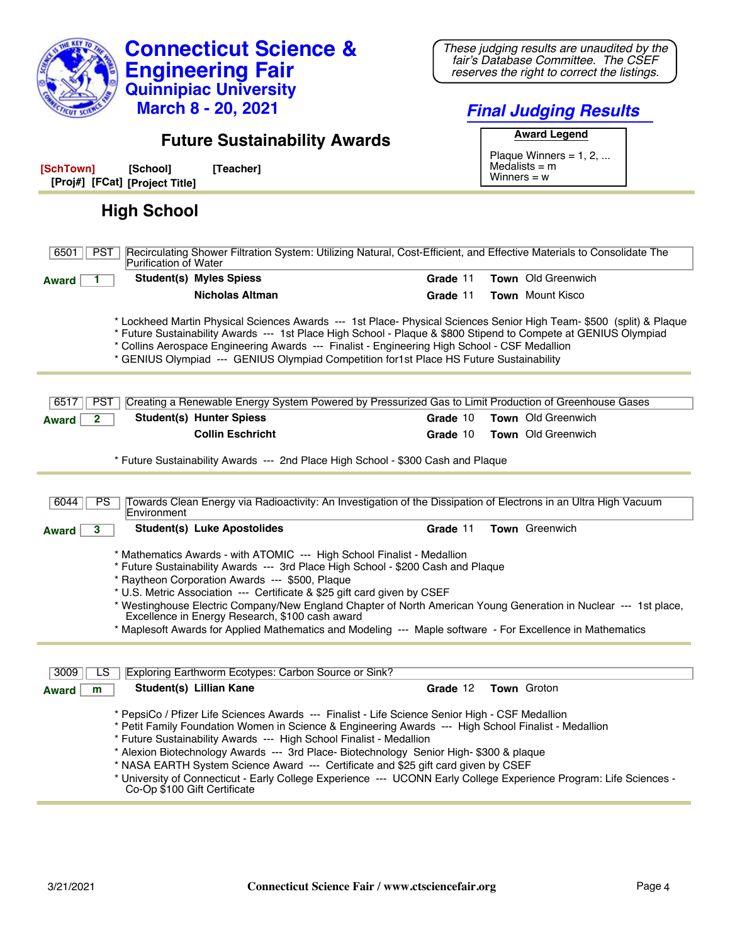| <b>Connecticut Science &amp;</b><br><b>Engineering Fair</b><br><b>Quinnipiac University</b><br><b>March 8 - 20, 2021</b>                                                                                                                                                                                                                                                                                                                                                                                                                                                                                              | These judging results are unaudited by the<br>fair's Database Committee. The CSEF<br>reserves the right to correct the listings.<br><b>Final Judging Results</b> |  |  |
|-----------------------------------------------------------------------------------------------------------------------------------------------------------------------------------------------------------------------------------------------------------------------------------------------------------------------------------------------------------------------------------------------------------------------------------------------------------------------------------------------------------------------------------------------------------------------------------------------------------------------|------------------------------------------------------------------------------------------------------------------------------------------------------------------|--|--|
| <b>Future Sustainability Awards</b>                                                                                                                                                                                                                                                                                                                                                                                                                                                                                                                                                                                   | <b>Award Legend</b>                                                                                                                                              |  |  |
| [SchTown]<br>[School]<br>[Teacher]<br>[Proj#] [FCat] [Project Title]                                                                                                                                                                                                                                                                                                                                                                                                                                                                                                                                                  | Plaque Winners = $1, 2, $<br>Medalists $=$ m<br>Winners $= w$                                                                                                    |  |  |
| <b>High School</b>                                                                                                                                                                                                                                                                                                                                                                                                                                                                                                                                                                                                    |                                                                                                                                                                  |  |  |
| Recirculating Shower Filtration System: Utilizing Natural, Cost-Efficient, and Effective Materials to Consolidate The<br><b>PST</b><br>6501<br>Purification of Water                                                                                                                                                                                                                                                                                                                                                                                                                                                  |                                                                                                                                                                  |  |  |
| <b>Student(s) Myles Spiess</b><br><b>Award</b>                                                                                                                                                                                                                                                                                                                                                                                                                                                                                                                                                                        | Town Old Greenwich<br>Grade 11                                                                                                                                   |  |  |
| <b>Nicholas Altman</b>                                                                                                                                                                                                                                                                                                                                                                                                                                                                                                                                                                                                | <b>Town</b> Mount Kisco<br>Grade 11                                                                                                                              |  |  |
| * Lockheed Martin Physical Sciences Awards --- 1st Place- Physical Sciences Senior High Team- \$500 (split) & Plaque<br>* Future Sustainability Awards --- 1st Place High School - Plaque & \$800 Stipend to Compete at GENIUS Olympiad<br>* Collins Aerospace Engineering Awards --- Finalist - Engineering High School - CSF Medallion<br>* GENIUS Olympiad --- GENIUS Olympiad Competition for1st Place HS Future Sustainability                                                                                                                                                                                   |                                                                                                                                                                  |  |  |
| Creating a Renewable Energy System Powered by Pressurized Gas to Limit Production of Greenhouse Gases<br><b>PST</b><br>6517                                                                                                                                                                                                                                                                                                                                                                                                                                                                                           |                                                                                                                                                                  |  |  |
| <b>Student(s) Hunter Spiess</b><br>$\mathbf{2}$<br><b>Award</b>                                                                                                                                                                                                                                                                                                                                                                                                                                                                                                                                                       | <b>Town</b> Old Greenwich<br>Grade 10                                                                                                                            |  |  |
| <b>Collin Eschricht</b>                                                                                                                                                                                                                                                                                                                                                                                                                                                                                                                                                                                               | Town Old Greenwich<br>Grade 10                                                                                                                                   |  |  |
| * Future Sustainability Awards --- 2nd Place High School - \$300 Cash and Plaque                                                                                                                                                                                                                                                                                                                                                                                                                                                                                                                                      |                                                                                                                                                                  |  |  |
| Towards Clean Energy via Radioactivity: An Investigation of the Dissipation of Electrons in an Ultra High Vacuum<br>6044<br>PS.<br>Environment                                                                                                                                                                                                                                                                                                                                                                                                                                                                        |                                                                                                                                                                  |  |  |
| <b>Student(s) Luke Apostolides</b><br>3<br><b>Award</b>                                                                                                                                                                                                                                                                                                                                                                                                                                                                                                                                                               | Town Greenwich<br>Grade 11                                                                                                                                       |  |  |
| * Mathematics Awards - with ATOMIC --- High School Finalist - Medallion<br>* Future Sustainability Awards --- 3rd Place High School - \$200 Cash and Plaque<br>* Raytheon Corporation Awards --- \$500, Plaque<br>* U.S. Metric Association --- Certificate & \$25 gift card given by CSEF<br>* Westinghouse Electric Company/New England Chapter of North American Young Generation in Nuclear --- 1st place,<br>Excellence in Energy Research, \$100 cash award<br>* Maplesoft Awards for Applied Mathematics and Modeling --- Maple software - For Excellence in Mathematics                                       |                                                                                                                                                                  |  |  |
|                                                                                                                                                                                                                                                                                                                                                                                                                                                                                                                                                                                                                       |                                                                                                                                                                  |  |  |
| Exploring Earthworm Ecotypes: Carbon Source or Sink?<br>3009<br>LS<br>Student(s) Lillian Kane<br>m<br><b>Award</b>                                                                                                                                                                                                                                                                                                                                                                                                                                                                                                    | Grade 12<br>Town Groton                                                                                                                                          |  |  |
| * PepsiCo / Pfizer Life Sciences Awards --- Finalist - Life Science Senior High - CSF Medallion<br>* Petit Family Foundation Women in Science & Engineering Awards --- High School Finalist - Medallion<br>* Future Sustainability Awards --- High School Finalist - Medallion<br>* Alexion Biotechnology Awards --- 3rd Place- Biotechnology Senior High- \$300 & plaque<br>* NASA EARTH System Science Award --- Certificate and \$25 gift card given by CSEF<br>* University of Connecticut - Early College Experience --- UCONN Early College Experience Program: Life Sciences -<br>Co-Op \$100 Gift Certificate |                                                                                                                                                                  |  |  |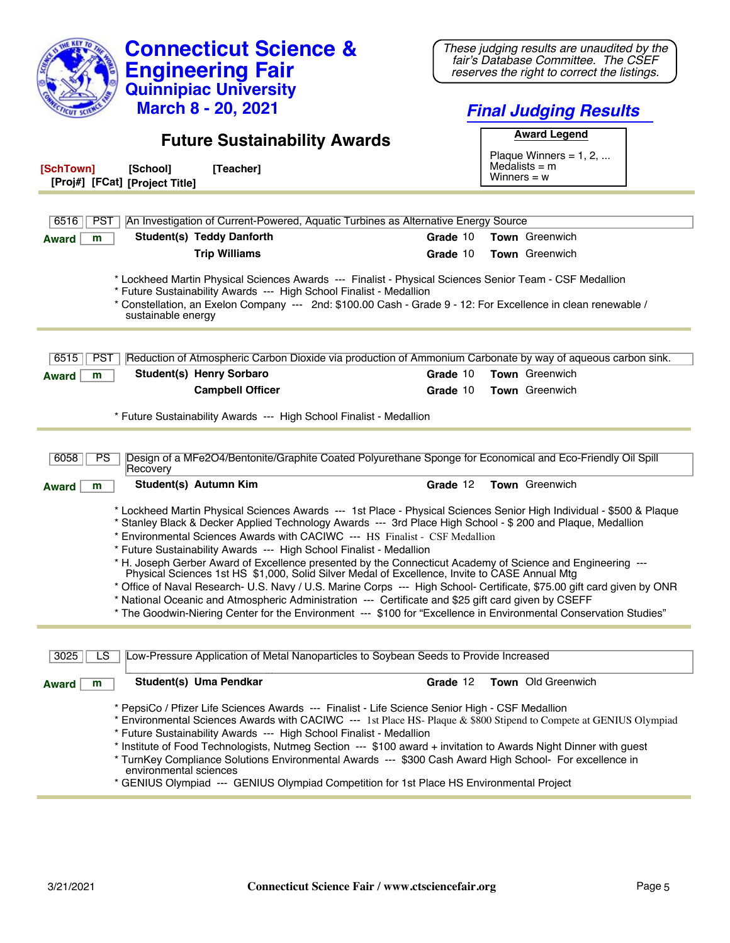| <b>Engineering Fair</b><br><b>Quinnipiac University</b>                                                                                                                                                                                                                                                                                                                                                                                                                                                                                                                                                                                           | fair's Database Committee. The CSEF<br>reserves the right to correct the listings. |  |
|---------------------------------------------------------------------------------------------------------------------------------------------------------------------------------------------------------------------------------------------------------------------------------------------------------------------------------------------------------------------------------------------------------------------------------------------------------------------------------------------------------------------------------------------------------------------------------------------------------------------------------------------------|------------------------------------------------------------------------------------|--|
| <b>March 8 - 20, 2021</b>                                                                                                                                                                                                                                                                                                                                                                                                                                                                                                                                                                                                                         | <b>Final Judging Results</b>                                                       |  |
| <b>Future Sustainability Awards</b>                                                                                                                                                                                                                                                                                                                                                                                                                                                                                                                                                                                                               | <b>Award Legend</b><br>Plaque Winners = $1, 2, $                                   |  |
| [SchTown]<br>[School]<br>[Teacher]<br>[Proj#] [FCat] [Project Title]                                                                                                                                                                                                                                                                                                                                                                                                                                                                                                                                                                              | Medalists $=$ m<br>Winners $= w$                                                   |  |
| <b>PST</b><br>An Investigation of Current-Powered, Aquatic Turbines as Alternative Energy Source<br>6516                                                                                                                                                                                                                                                                                                                                                                                                                                                                                                                                          |                                                                                    |  |
| <b>Student(s) Teddy Danforth</b><br>m<br><b>Award</b>                                                                                                                                                                                                                                                                                                                                                                                                                                                                                                                                                                                             | Town Greenwich<br>Grade 10                                                         |  |
| <b>Trip Williams</b>                                                                                                                                                                                                                                                                                                                                                                                                                                                                                                                                                                                                                              | Grade 10<br><b>Town</b> Greenwich                                                  |  |
| * Lockheed Martin Physical Sciences Awards --- Finalist - Physical Sciences Senior Team - CSF Medallion<br>* Future Sustainability Awards --- High School Finalist - Medallion<br>* Constellation, an Exelon Company --- 2nd: \$100.00 Cash - Grade 9 - 12: For Excellence in clean renewable /<br>sustainable energy                                                                                                                                                                                                                                                                                                                             |                                                                                    |  |
| Reduction of Atmospheric Carbon Dioxide via production of Ammonium Carbonate by way of aqueous carbon sink.<br>6515<br><b>PST</b>                                                                                                                                                                                                                                                                                                                                                                                                                                                                                                                 |                                                                                    |  |
| <b>Student(s) Henry Sorbaro</b><br>m<br><b>Award</b>                                                                                                                                                                                                                                                                                                                                                                                                                                                                                                                                                                                              | <b>Town</b> Greenwich<br>Grade 10                                                  |  |
| <b>Campbell Officer</b>                                                                                                                                                                                                                                                                                                                                                                                                                                                                                                                                                                                                                           | <b>Town</b> Greenwich<br>Grade 10                                                  |  |
| * Future Sustainability Awards --- High School Finalist - Medallion                                                                                                                                                                                                                                                                                                                                                                                                                                                                                                                                                                               |                                                                                    |  |
| Design of a MFe2O4/Bentonite/Graphite Coated Polyurethane Sponge for Economical and Eco-Friendly Oil Spill<br>6058<br><b>PS</b><br>Recovery                                                                                                                                                                                                                                                                                                                                                                                                                                                                                                       |                                                                                    |  |
| Student(s) Autumn Kim<br><b>Award</b><br>m                                                                                                                                                                                                                                                                                                                                                                                                                                                                                                                                                                                                        | <b>Town</b> Greenwich<br>Grade 12                                                  |  |
| * Lockheed Martin Physical Sciences Awards --- 1st Place - Physical Sciences Senior High Individual - \$500 & Plaque<br>* Stanley Black & Decker Applied Technology Awards --- 3rd Place High School - \$ 200 and Plague, Medallion<br>* Environmental Sciences Awards with CACIWC --- HS Finalist - CSF Medallion<br>* Future Sustainability Awards --- High School Finalist - Medallion                                                                                                                                                                                                                                                         |                                                                                    |  |
| * H. Joseph Gerber Award of Excellence presented by the Connecticut Academy of Science and Engineering ---<br>Physical Sciences 1st HS \$1,000, Solid Silver Medal of Excellence, Invite to CASE Annual Mtg<br>* Office of Naval Research- U.S. Navy / U.S. Marine Corps --- High School- Certificate, \$75.00 gift card given by ONR<br>* National Oceanic and Atmospheric Administration --- Certificate and \$25 gift card given by CSEFF<br>* The Goodwin-Niering Center for the Environment --- \$100 for "Excellence in Environmental Conservation Studies"                                                                                 |                                                                                    |  |
| Low-Pressure Application of Metal Nanoparticles to Soybean Seeds to Provide Increased<br>3025<br>LS                                                                                                                                                                                                                                                                                                                                                                                                                                                                                                                                               |                                                                                    |  |
| Student(s) Uma Pendkar<br><b>Award</b><br>m                                                                                                                                                                                                                                                                                                                                                                                                                                                                                                                                                                                                       | Grade 12<br>Town Old Greenwich                                                     |  |
| * PepsiCo / Pfizer Life Sciences Awards --- Finalist - Life Science Senior High - CSF Medallion<br>* Environmental Sciences Awards with CACIWC --- 1st Place HS- Plaque & \$800 Stipend to Compete at GENIUS Olympiad<br>* Future Sustainability Awards --- High School Finalist - Medallion<br>* Institute of Food Technologists, Nutmeg Section --- \$100 award + invitation to Awards Night Dinner with guest<br>* TurnKey Compliance Solutions Environmental Awards --- \$300 Cash Award High School- For excellence in<br>environmental sciences<br>* GENIUS Olympiad --- GENIUS Olympiad Competition for 1st Place HS Environmental Project |                                                                                    |  |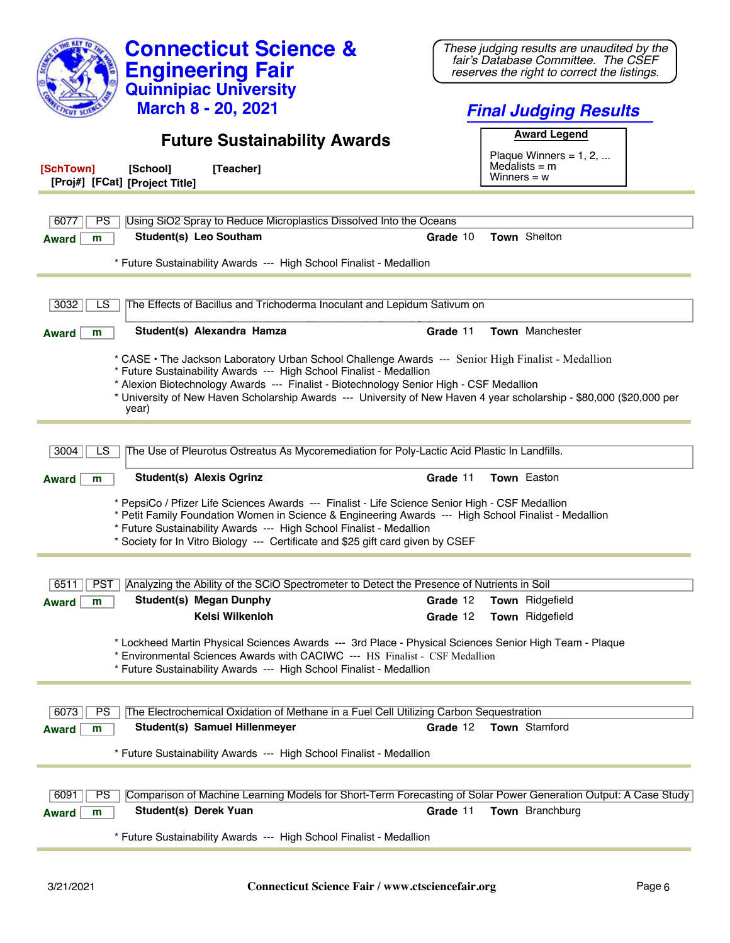| <b>Connecticut Science &amp;</b><br><b>Engineering Fair</b>                                                                                                                                                                                                                                                                                                                                           | These judging results are unaudited by the<br>fair's Database Committee. The CSEF<br>reserves the right to correct the listings. |  |
|-------------------------------------------------------------------------------------------------------------------------------------------------------------------------------------------------------------------------------------------------------------------------------------------------------------------------------------------------------------------------------------------------------|----------------------------------------------------------------------------------------------------------------------------------|--|
| <b>Quinnipiac University</b>                                                                                                                                                                                                                                                                                                                                                                          |                                                                                                                                  |  |
| <b>March 8 - 20, 2021</b>                                                                                                                                                                                                                                                                                                                                                                             | <b>Final Judging Results</b>                                                                                                     |  |
| <b>Future Sustainability Awards</b>                                                                                                                                                                                                                                                                                                                                                                   | <b>Award Legend</b>                                                                                                              |  |
|                                                                                                                                                                                                                                                                                                                                                                                                       | Plaque Winners = $1, 2, $<br>Medalists $=$ m                                                                                     |  |
| [SchTown]<br>[Teacher]<br>[School]<br>[Proj#] [FCat] [Project Title]                                                                                                                                                                                                                                                                                                                                  | Winners $= w$                                                                                                                    |  |
|                                                                                                                                                                                                                                                                                                                                                                                                       |                                                                                                                                  |  |
| Using SiO2 Spray to Reduce Microplastics Dissolved Into the Oceans<br>6077<br>PS<br>Student(s) Leo Southam                                                                                                                                                                                                                                                                                            | Town Shelton<br>Grade 10                                                                                                         |  |
| m<br><b>Award</b>                                                                                                                                                                                                                                                                                                                                                                                     |                                                                                                                                  |  |
| * Future Sustainability Awards --- High School Finalist - Medallion                                                                                                                                                                                                                                                                                                                                   |                                                                                                                                  |  |
| The Effects of Bacillus and Trichoderma Inoculant and Lepidum Sativum on<br>3032<br>LS                                                                                                                                                                                                                                                                                                                |                                                                                                                                  |  |
|                                                                                                                                                                                                                                                                                                                                                                                                       |                                                                                                                                  |  |
| Student(s) Alexandra Hamza<br>m<br><b>Award</b>                                                                                                                                                                                                                                                                                                                                                       | Town Manchester<br>Grade 11                                                                                                      |  |
| * CASE . The Jackson Laboratory Urban School Challenge Awards --- Senior High Finalist - Medallion<br>* Future Sustainability Awards --- High School Finalist - Medallion<br>* Alexion Biotechnology Awards --- Finalist - Biotechnology Senior High - CSF Medallion<br>* University of New Haven Scholarship Awards --- University of New Haven 4 year scholarship - \$80,000 (\$20,000 per<br>year) |                                                                                                                                  |  |
|                                                                                                                                                                                                                                                                                                                                                                                                       |                                                                                                                                  |  |
| The Use of Pleurotus Ostreatus As Mycoremediation for Poly-Lactic Acid Plastic In Landfills.<br>LS<br>3004                                                                                                                                                                                                                                                                                            |                                                                                                                                  |  |
| <b>Student(s) Alexis Ogrinz</b><br>m<br><b>Award</b>                                                                                                                                                                                                                                                                                                                                                  | Town Easton<br>Grade 11                                                                                                          |  |
| * PepsiCo / Pfizer Life Sciences Awards --- Finalist - Life Science Senior High - CSF Medallion<br>* Petit Family Foundation Women in Science & Engineering Awards --- High School Finalist - Medallion<br>* Future Sustainability Awards --- High School Finalist - Medallion<br>* Society for In Vitro Biology --- Certificate and \$25 gift card given by CSEF                                     |                                                                                                                                  |  |
| Analyzing the Ability of the SCiO Spectrometer to Detect the Presence of Nutrients in Soil<br>6511<br><b>PST</b>                                                                                                                                                                                                                                                                                      |                                                                                                                                  |  |
| <b>Student(s) Megan Dunphy</b><br><b>Award</b><br>m                                                                                                                                                                                                                                                                                                                                                   | Grade 12<br>Town Ridgefield                                                                                                      |  |
| Kelsi Wilkenloh                                                                                                                                                                                                                                                                                                                                                                                       | Town Ridgefield<br>Grade 12                                                                                                      |  |
| * Lockheed Martin Physical Sciences Awards --- 3rd Place - Physical Sciences Senior High Team - Plaque<br>* Environmental Sciences Awards with CACIWC --- HS Finalist - CSF Medallion<br>* Future Sustainability Awards --- High School Finalist - Medallion                                                                                                                                          |                                                                                                                                  |  |
| The Electrochemical Oxidation of Methane in a Fuel Cell Utilizing Carbon Sequestration<br>6073<br><b>PS</b>                                                                                                                                                                                                                                                                                           |                                                                                                                                  |  |
| Student(s) Samuel Hillenmeyer<br>m<br><b>Award</b>                                                                                                                                                                                                                                                                                                                                                    | Town Stamford<br>Grade 12                                                                                                        |  |
| * Future Sustainability Awards --- High School Finalist - Medallion                                                                                                                                                                                                                                                                                                                                   |                                                                                                                                  |  |
|                                                                                                                                                                                                                                                                                                                                                                                                       |                                                                                                                                  |  |
| Comparison of Machine Learning Models for Short-Term Forecasting of Solar Power Generation Output: A Case Study<br>6091<br><b>PS</b>                                                                                                                                                                                                                                                                  |                                                                                                                                  |  |
| Student(s) Derek Yuan<br><b>Award</b><br>m                                                                                                                                                                                                                                                                                                                                                            | Grade 11<br>Town Branchburg                                                                                                      |  |
| * Future Sustainability Awards --- High School Finalist - Medallion                                                                                                                                                                                                                                                                                                                                   |                                                                                                                                  |  |